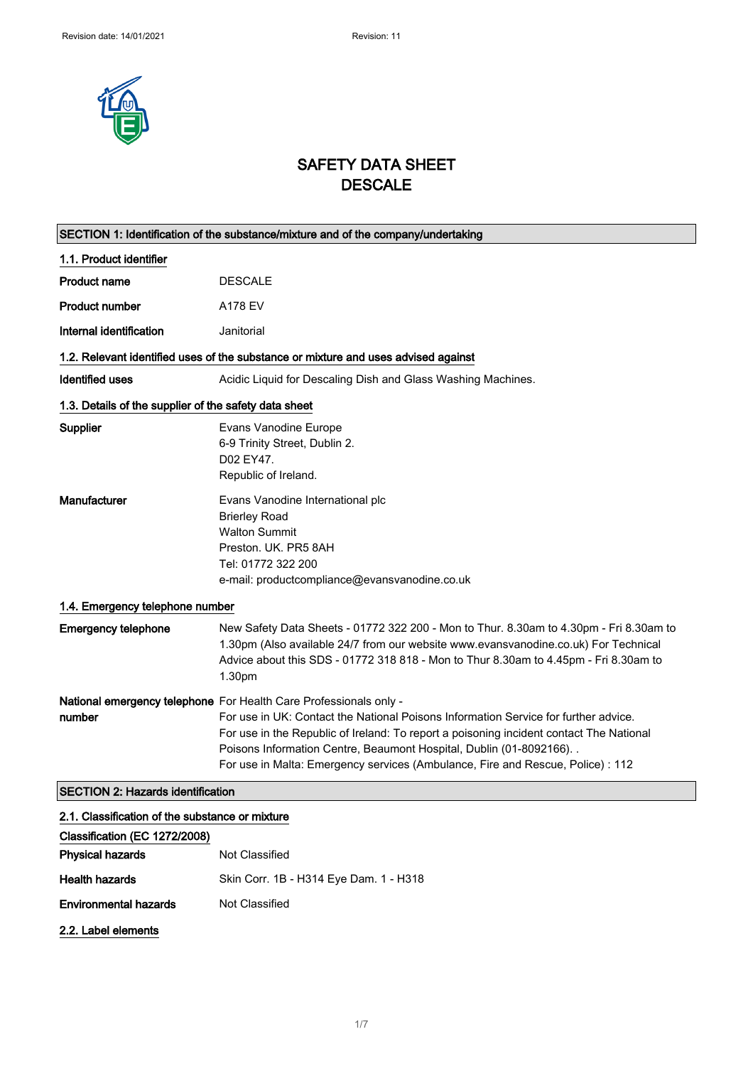

# SAFETY DATA SHEET **DESCALE**

|                                                       | SECTION 1: Identification of the substance/mixture and of the company/undertaking                                                                                                                                                                                                                                                                                                                               |
|-------------------------------------------------------|-----------------------------------------------------------------------------------------------------------------------------------------------------------------------------------------------------------------------------------------------------------------------------------------------------------------------------------------------------------------------------------------------------------------|
| 1.1. Product identifier                               |                                                                                                                                                                                                                                                                                                                                                                                                                 |
| <b>Product name</b>                                   | <b>DESCALE</b>                                                                                                                                                                                                                                                                                                                                                                                                  |
| <b>Product number</b>                                 | A178 EV                                                                                                                                                                                                                                                                                                                                                                                                         |
| Internal identification                               | Janitorial                                                                                                                                                                                                                                                                                                                                                                                                      |
|                                                       | 1.2. Relevant identified uses of the substance or mixture and uses advised against                                                                                                                                                                                                                                                                                                                              |
| Identified uses                                       | Acidic Liquid for Descaling Dish and Glass Washing Machines.                                                                                                                                                                                                                                                                                                                                                    |
| 1.3. Details of the supplier of the safety data sheet |                                                                                                                                                                                                                                                                                                                                                                                                                 |
| <b>Supplier</b>                                       | Evans Vanodine Europe<br>6-9 Trinity Street, Dublin 2.<br>D02 EY47.<br>Republic of Ireland.                                                                                                                                                                                                                                                                                                                     |
| Manufacturer                                          | Evans Vanodine International plc<br><b>Brierley Road</b><br><b>Walton Summit</b><br>Preston, UK, PR5 8AH<br>Tel: 01772 322 200<br>e-mail: productcompliance@evansvanodine.co.uk                                                                                                                                                                                                                                 |
| 1.4. Emergency telephone number                       |                                                                                                                                                                                                                                                                                                                                                                                                                 |
| <b>Emergency telephone</b>                            | New Safety Data Sheets - 01772 322 200 - Mon to Thur. 8.30am to 4.30pm - Fri 8.30am to<br>1.30pm (Also available 24/7 from our website www.evansvanodine.co.uk) For Technical<br>Advice about this SDS - 01772 318 818 - Mon to Thur 8.30am to 4.45pm - Fri 8.30am to<br>1.30pm                                                                                                                                 |
| number                                                | National emergency telephone For Health Care Professionals only -<br>For use in UK: Contact the National Poisons Information Service for further advice.<br>For use in the Republic of Ireland: To report a poisoning incident contact The National<br>Poisons Information Centre, Beaumont Hospital, Dublin (01-8092166). .<br>For use in Malta: Emergency services (Ambulance, Fire and Rescue, Police) : 112 |
| <b>SECTION 2: Hazards identification</b>              |                                                                                                                                                                                                                                                                                                                                                                                                                 |
| 2.1. Classification of the substance or mixture       |                                                                                                                                                                                                                                                                                                                                                                                                                 |
| Classification (EC 1272/2008)                         |                                                                                                                                                                                                                                                                                                                                                                                                                 |
| <b>Physical hazards</b>                               | <b>Not Classified</b>                                                                                                                                                                                                                                                                                                                                                                                           |

Health hazards Skin Corr. 1B - H314 Eye Dam. 1 - H318 Environmental hazards Not Classified

2.2. Label elements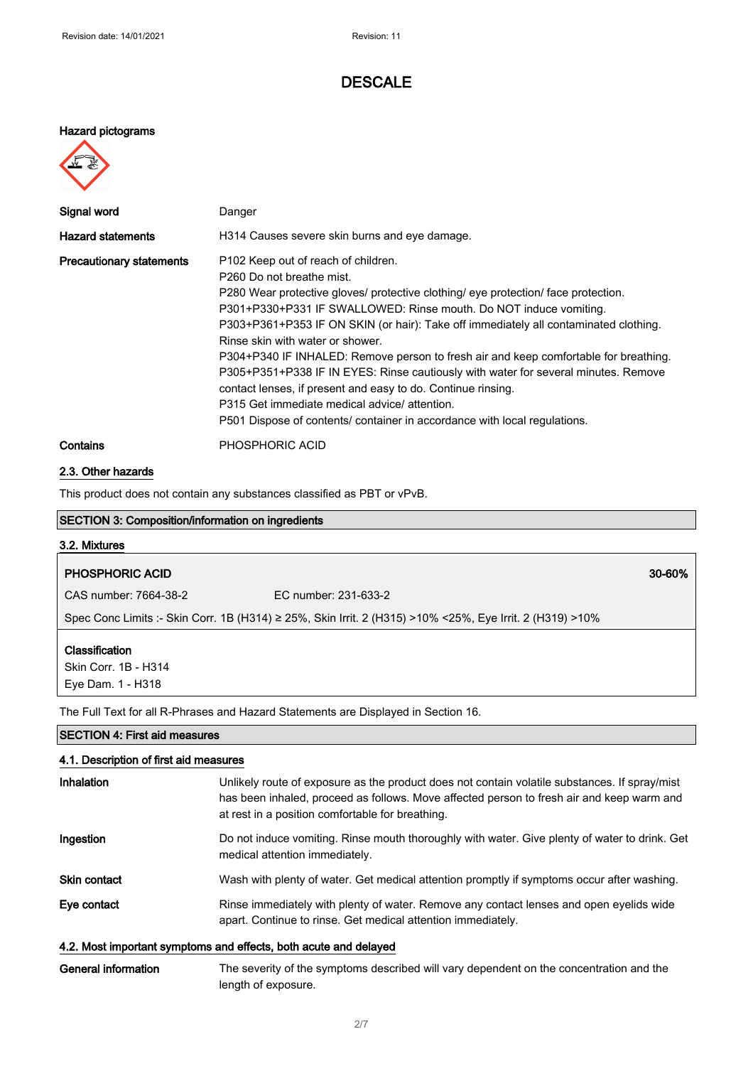#### Hazard pictograms



| Signal word                     | Danger                                                                                                                                                                                                                                                                                                                                                                                                                                                                                                                                                                                                                                                                                                                                          |
|---------------------------------|-------------------------------------------------------------------------------------------------------------------------------------------------------------------------------------------------------------------------------------------------------------------------------------------------------------------------------------------------------------------------------------------------------------------------------------------------------------------------------------------------------------------------------------------------------------------------------------------------------------------------------------------------------------------------------------------------------------------------------------------------|
| <b>Hazard statements</b>        | H314 Causes severe skin burns and eye damage.                                                                                                                                                                                                                                                                                                                                                                                                                                                                                                                                                                                                                                                                                                   |
| <b>Precautionary statements</b> | P102 Keep out of reach of children.<br>P <sub>260</sub> Do not breathe mist.<br>P280 Wear protective gloves/ protective clothing/ eye protection/ face protection.<br>P301+P330+P331 IF SWALLOWED: Rinse mouth. Do NOT induce vomiting.<br>P303+P361+P353 IF ON SKIN (or hair): Take off immediately all contaminated clothing.<br>Rinse skin with water or shower.<br>P304+P340 IF INHALED: Remove person to fresh air and keep comfortable for breathing.<br>P305+P351+P338 IF IN EYES: Rinse cautiously with water for several minutes. Remove<br>contact lenses, if present and easy to do. Continue rinsing.<br>P315 Get immediate medical advice/ attention.<br>P501 Dispose of contents/ container in accordance with local regulations. |
| Contains                        | PHOSPHORIC ACID                                                                                                                                                                                                                                                                                                                                                                                                                                                                                                                                                                                                                                                                                                                                 |

# 2.3. Other hazards

This product does not contain any substances classified as PBT or vPvB.

| $\frac{1}{100}$ product about 110, contain any capotanteed chacement as referred |                                                                                                          |        |
|----------------------------------------------------------------------------------|----------------------------------------------------------------------------------------------------------|--------|
| <b>SECTION 3: Composition/information on ingredients</b>                         |                                                                                                          |        |
| 3.2. Mixtures                                                                    |                                                                                                          |        |
| <b>PHOSPHORIC ACID</b>                                                           |                                                                                                          | 30-60% |
| CAS number: 7664-38-2                                                            | FC number: 231-633-2                                                                                     |        |
|                                                                                  | Spec Conc Limits :- Skin Corr. 1B (H314) ≥ 25%, Skin Irrit. 2 (H315) >10% <25%, Eye Irrit. 2 (H319) >10% |        |
| Classification<br>Skin Corr. 1B - H314<br>Eye Dam. 1 - H318                      |                                                                                                          |        |
|                                                                                  | The Full Text for all R-Phrases and Hazard Statements are Displayed in Section 16.                       |        |
| <b>SECTION 4: First aid measures</b>                                             |                                                                                                          |        |

| 4.1. Description of first aid measures |                                                                                                                                                                                                                                                |
|----------------------------------------|------------------------------------------------------------------------------------------------------------------------------------------------------------------------------------------------------------------------------------------------|
| Inhalation                             | Unlikely route of exposure as the product does not contain volatile substances. If spray/mist<br>has been inhaled, proceed as follows. Move affected person to fresh air and keep warm and<br>at rest in a position comfortable for breathing. |
| Ingestion                              | Do not induce vomiting. Rinse mouth thoroughly with water. Give plenty of water to drink. Get<br>medical attention immediately.                                                                                                                |
| <b>Skin contact</b>                    | Wash with plenty of water. Get medical attention promptly if symptoms occur after washing.                                                                                                                                                     |
| Eye contact                            | Rinse immediately with plenty of water. Remove any contact lenses and open eyelids wide<br>apart. Continue to rinse. Get medical attention immediately.                                                                                        |
|                                        | 4.2. Most important symptoms and effects, both acute and delayed                                                                                                                                                                               |
|                                        |                                                                                                                                                                                                                                                |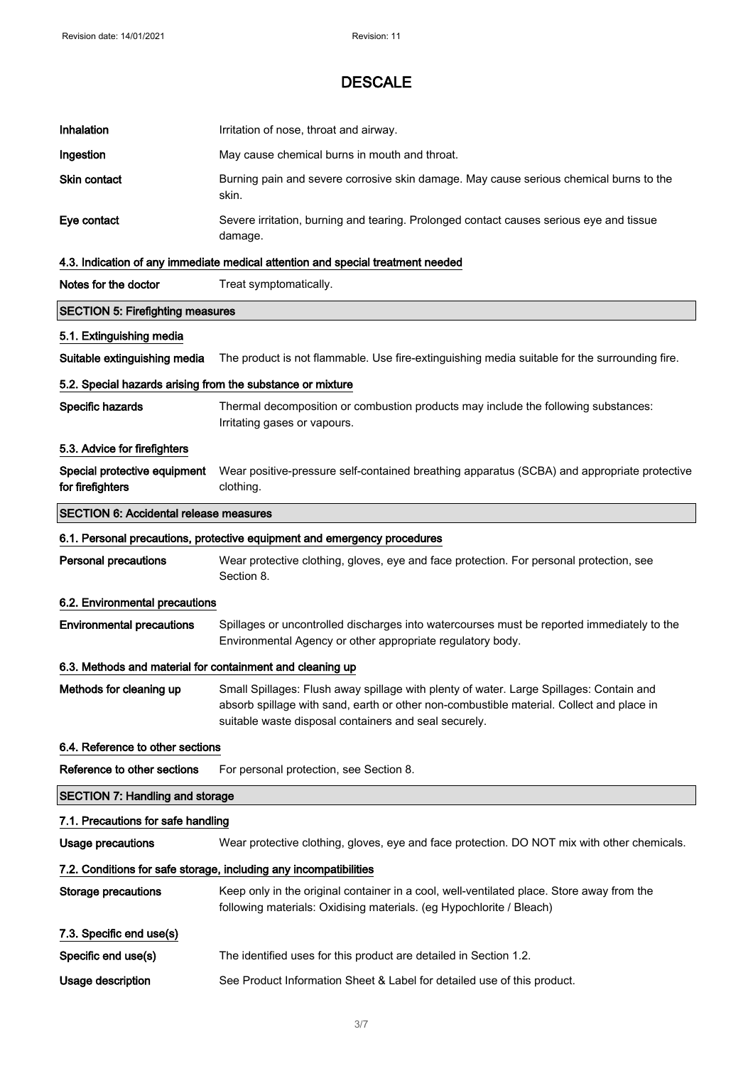| Inhalation                                                 | Irritation of nose, throat and airway.                                                                                                                                                                                                       |
|------------------------------------------------------------|----------------------------------------------------------------------------------------------------------------------------------------------------------------------------------------------------------------------------------------------|
| Ingestion                                                  | May cause chemical burns in mouth and throat.                                                                                                                                                                                                |
| Skin contact                                               | Burning pain and severe corrosive skin damage. May cause serious chemical burns to the<br>skin.                                                                                                                                              |
| Eye contact                                                | Severe irritation, burning and tearing. Prolonged contact causes serious eye and tissue<br>damage.                                                                                                                                           |
|                                                            | 4.3. Indication of any immediate medical attention and special treatment needed                                                                                                                                                              |
| Notes for the doctor                                       | Treat symptomatically.                                                                                                                                                                                                                       |
| <b>SECTION 5: Firefighting measures</b>                    |                                                                                                                                                                                                                                              |
| 5.1. Extinguishing media                                   |                                                                                                                                                                                                                                              |
| Suitable extinguishing media                               | The product is not flammable. Use fire-extinguishing media suitable for the surrounding fire.                                                                                                                                                |
| 5.2. Special hazards arising from the substance or mixture |                                                                                                                                                                                                                                              |
| Specific hazards                                           | Thermal decomposition or combustion products may include the following substances:<br>Irritating gases or vapours.                                                                                                                           |
| 5.3. Advice for firefighters                               |                                                                                                                                                                                                                                              |
| Special protective equipment<br>for firefighters           | Wear positive-pressure self-contained breathing apparatus (SCBA) and appropriate protective<br>clothing.                                                                                                                                     |
| <b>SECTION 6: Accidental release measures</b>              |                                                                                                                                                                                                                                              |
|                                                            | 6.1. Personal precautions, protective equipment and emergency procedures                                                                                                                                                                     |
| <b>Personal precautions</b>                                | Wear protective clothing, gloves, eye and face protection. For personal protection, see<br>Section 8.                                                                                                                                        |
| 6.2. Environmental precautions                             |                                                                                                                                                                                                                                              |
| <b>Environmental precautions</b>                           | Spillages or uncontrolled discharges into watercourses must be reported immediately to the<br>Environmental Agency or other appropriate regulatory body.                                                                                     |
| 6.3. Methods and material for containment and cleaning up  |                                                                                                                                                                                                                                              |
| Methods for cleaning up                                    | Small Spillages: Flush away spillage with plenty of water. Large Spillages: Contain and<br>absorb spillage with sand, earth or other non-combustible material. Collect and place in<br>suitable waste disposal containers and seal securely. |
| 6.4. Reference to other sections                           |                                                                                                                                                                                                                                              |
| Reference to other sections                                | For personal protection, see Section 8.                                                                                                                                                                                                      |
| <b>SECTION 7: Handling and storage</b>                     |                                                                                                                                                                                                                                              |
| 7.1. Precautions for safe handling                         |                                                                                                                                                                                                                                              |
| <b>Usage precautions</b>                                   | Wear protective clothing, gloves, eye and face protection. DO NOT mix with other chemicals.                                                                                                                                                  |
|                                                            | 7.2. Conditions for safe storage, including any incompatibilities                                                                                                                                                                            |
| Storage precautions                                        | Keep only in the original container in a cool, well-ventilated place. Store away from the<br>following materials: Oxidising materials. (eg Hypochlorite / Bleach)                                                                            |
| 7.3. Specific end use(s)                                   |                                                                                                                                                                                                                                              |
| Specific end use(s)                                        | The identified uses for this product are detailed in Section 1.2.                                                                                                                                                                            |
| Usage description                                          | See Product Information Sheet & Label for detailed use of this product.                                                                                                                                                                      |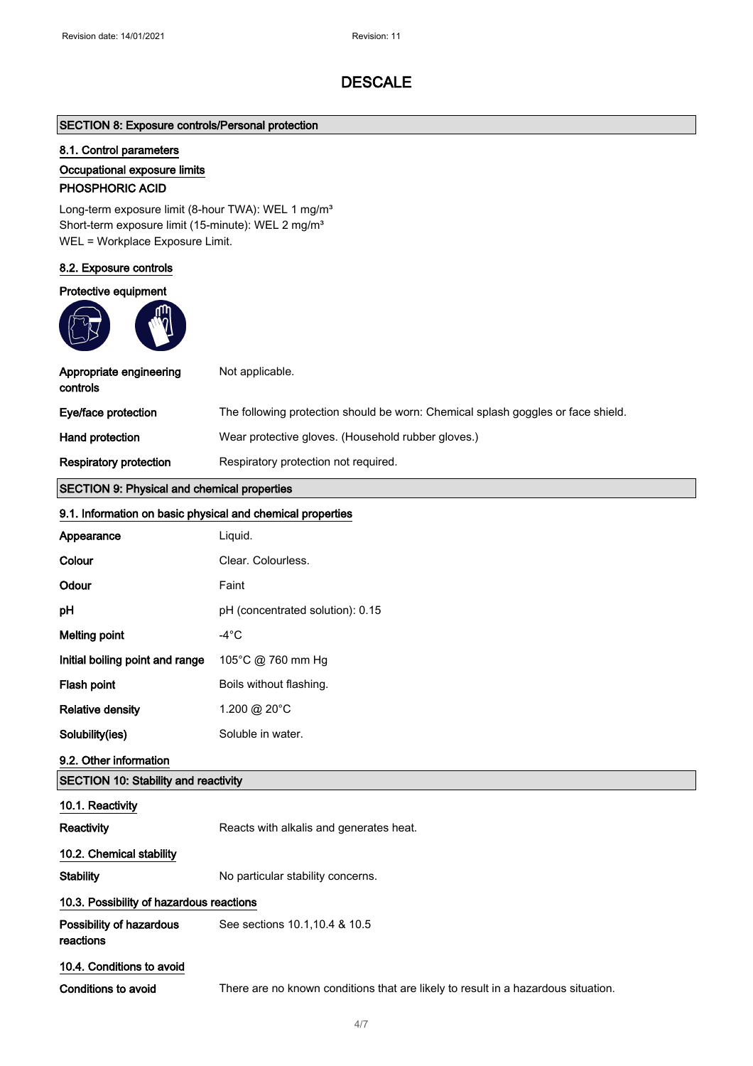## SECTION 8: Exposure controls/Personal protection

### 8.1. Control parameters

#### Occupational exposure limits

# PHOSPHORIC ACID

Long-term exposure limit (8-hour TWA): WEL 1 mg/m<sup>3</sup> Short-term exposure limit (15-minute): WEL 2 mg/m<sup>3</sup> WEL = Workplace Exposure Limit.

### 8.2. Exposure controls

#### Protective equipment



| Appropriate engineering<br>controls                        | Not applicable.                                                                   |
|------------------------------------------------------------|-----------------------------------------------------------------------------------|
| Eye/face protection                                        | The following protection should be worn: Chemical splash goggles or face shield.  |
| <b>Hand protection</b>                                     | Wear protective gloves. (Household rubber gloves.)                                |
| <b>Respiratory protection</b>                              | Respiratory protection not required.                                              |
| <b>SECTION 9: Physical and chemical properties</b>         |                                                                                   |
| 9.1. Information on basic physical and chemical properties |                                                                                   |
| Appearance                                                 | Liquid.                                                                           |
| Colour                                                     | Clear. Colourless.                                                                |
| Odour                                                      | Faint                                                                             |
| рH                                                         | pH (concentrated solution): 0.15                                                  |
| <b>Melting point</b>                                       | $-4^{\circ}$ C                                                                    |
| Initial boiling point and range                            | 105°C @ 760 mm Hg                                                                 |
| Flash point                                                | Boils without flashing.                                                           |
| <b>Relative density</b>                                    | 1.200 @ 20°C                                                                      |
| Solubility(ies)                                            | Soluble in water.                                                                 |
| 9.2. Other information                                     |                                                                                   |
| <b>SECTION 10: Stability and reactivity</b>                |                                                                                   |
| 10.1. Reactivity                                           |                                                                                   |
| Reactivity                                                 | Reacts with alkalis and generates heat.                                           |
| 10.2. Chemical stability                                   |                                                                                   |
| <b>Stability</b>                                           | No particular stability concerns.                                                 |
| 10.3. Possibility of hazardous reactions                   |                                                                                   |
| Possibility of hazardous<br>reactions                      | See sections 10.1, 10.4 & 10.5                                                    |
| 10.4. Conditions to avoid                                  |                                                                                   |
| Conditions to avoid                                        | There are no known conditions that are likely to result in a hazardous situation. |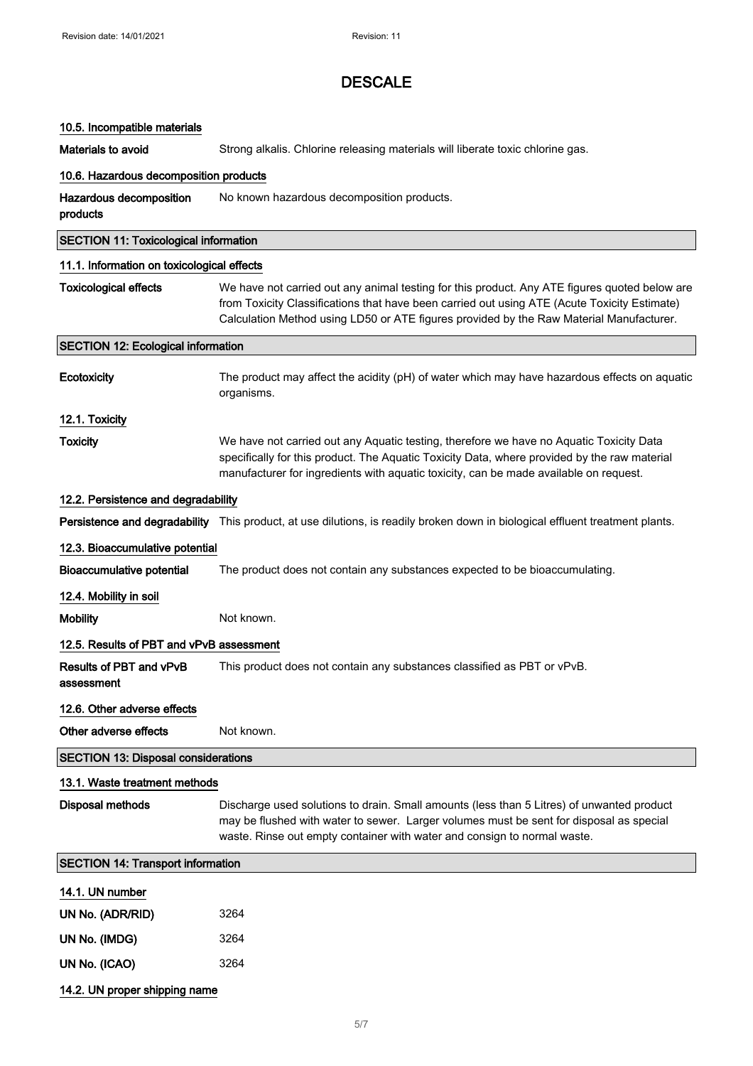| 10.5. Incompatible materials                 |                                                                                                                                                                                                                                                                                          |
|----------------------------------------------|------------------------------------------------------------------------------------------------------------------------------------------------------------------------------------------------------------------------------------------------------------------------------------------|
| Materials to avoid                           | Strong alkalis. Chlorine releasing materials will liberate toxic chlorine gas.                                                                                                                                                                                                           |
| 10.6. Hazardous decomposition products       |                                                                                                                                                                                                                                                                                          |
| Hazardous decomposition<br>products          | No known hazardous decomposition products.                                                                                                                                                                                                                                               |
| <b>SECTION 11: Toxicological information</b> |                                                                                                                                                                                                                                                                                          |
| 11.1. Information on toxicological effects   |                                                                                                                                                                                                                                                                                          |
| <b>Toxicological effects</b>                 | We have not carried out any animal testing for this product. Any ATE figures quoted below are<br>from Toxicity Classifications that have been carried out using ATE (Acute Toxicity Estimate)<br>Calculation Method using LD50 or ATE figures provided by the Raw Material Manufacturer. |
| <b>SECTION 12: Ecological information</b>    |                                                                                                                                                                                                                                                                                          |
| Ecotoxicity                                  | The product may affect the acidity (pH) of water which may have hazardous effects on aquatic<br>organisms.                                                                                                                                                                               |
| 12.1. Toxicity                               |                                                                                                                                                                                                                                                                                          |
| <b>Toxicity</b>                              | We have not carried out any Aquatic testing, therefore we have no Aquatic Toxicity Data<br>specifically for this product. The Aquatic Toxicity Data, where provided by the raw material<br>manufacturer for ingredients with aquatic toxicity, can be made available on request.         |
| 12.2. Persistence and degradability          |                                                                                                                                                                                                                                                                                          |
|                                              | Persistence and degradability This product, at use dilutions, is readily broken down in biological effluent treatment plants.                                                                                                                                                            |
| 12.3. Bioaccumulative potential              |                                                                                                                                                                                                                                                                                          |
| <b>Bioaccumulative potential</b>             | The product does not contain any substances expected to be bioaccumulating.                                                                                                                                                                                                              |
| 12.4. Mobility in soil                       |                                                                                                                                                                                                                                                                                          |
| <b>Mobility</b>                              | Not known.                                                                                                                                                                                                                                                                               |
| 12.5. Results of PBT and vPvB assessment     |                                                                                                                                                                                                                                                                                          |
| Results of PBT and vPvB<br>assessment        | This product does not contain any substances classified as PBT or vPvB.                                                                                                                                                                                                                  |
| 12.6. Other adverse effects                  |                                                                                                                                                                                                                                                                                          |
| Other adverse effects                        | Not known.                                                                                                                                                                                                                                                                               |
| <b>SECTION 13: Disposal considerations</b>   |                                                                                                                                                                                                                                                                                          |
| 13.1. Waste treatment methods                |                                                                                                                                                                                                                                                                                          |
| <b>Disposal methods</b>                      | Discharge used solutions to drain. Small amounts (less than 5 Litres) of unwanted product<br>may be flushed with water to sewer. Larger volumes must be sent for disposal as special<br>waste. Rinse out empty container with water and consign to normal waste.                         |
| <b>SECTION 14: Transport information</b>     |                                                                                                                                                                                                                                                                                          |
| 14.1. UN number                              |                                                                                                                                                                                                                                                                                          |
| UN No. (ADR/RID)                             | 3264                                                                                                                                                                                                                                                                                     |
| UN No. (IMDG)                                | 3264                                                                                                                                                                                                                                                                                     |
| UN No. (ICAO)                                | 3264                                                                                                                                                                                                                                                                                     |
| 14.2. UN proper shipping name                |                                                                                                                                                                                                                                                                                          |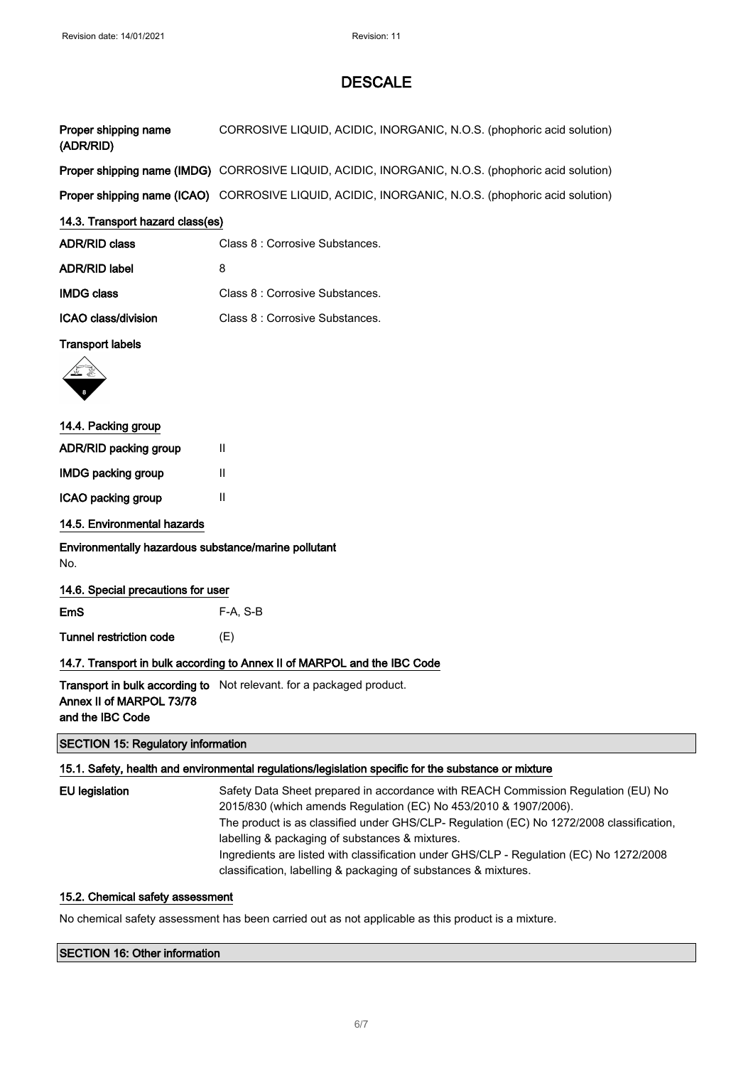| Proper shipping name<br>(ADR/RID) | CORROSIVE LIQUID, ACIDIC, INORGANIC, N.O.S. (phophoric acid solution)                                    |  |
|-----------------------------------|----------------------------------------------------------------------------------------------------------|--|
|                                   | <b>Proper shipping name (IMDG)</b> CORROSIVE LIQUID, ACIDIC, INORGANIC, N.O.S. (phophoric acid solution) |  |
|                                   | Proper shipping name (ICAO) CORROSIVE LIQUID, ACIDIC, INORGANIC, N.O.S. (phophoric acid solution)        |  |
| 14.3. Transport hazard class(es)  |                                                                                                          |  |
| <b>ADR/RID class</b>              | Class 8 : Corrosive Substances.                                                                          |  |
| <b>ADR/RID label</b>              | 8                                                                                                        |  |
| <b>IMDG class</b>                 | Class 8 : Corrosive Substances.                                                                          |  |
| ICAO class/division               | Class 8 : Corrosive Substances.                                                                          |  |
| <b>Transport labels</b>           |                                                                                                          |  |



| 14.4. Packing group          |   |  |
|------------------------------|---|--|
| <b>ADR/RID packing group</b> | Ш |  |
| <b>IMDG packing group</b>    | Ш |  |
| ICAO packing group           | Ш |  |
|                              |   |  |

# 14.5. Environmental hazards

Environmentally hazardous substance/marine pollutant No.

14.6. Special precautions for user

EmS F-A, S-B

Tunnel restriction code (E)

# 14.7. Transport in bulk according to Annex II of MARPOL and the IBC Code

**Transport in bulk according to** Not relevant. for a packaged product. Annex II of MARPOL 73/78 and the IBC Code

#### SECTION 15: Regulatory information

### 15.1. Safety, health and environmental regulations/legislation specific for the substance or mixture

| EU legislation | Safety Data Sheet prepared in accordance with REACH Commission Regulation (EU) No<br>2015/830 (which amends Regulation (EC) No 453/2010 & 1907/2006).      |
|----------------|------------------------------------------------------------------------------------------------------------------------------------------------------------|
|                | The product is as classified under GHS/CLP- Regulation (EC) No 1272/2008 classification,<br>labelling & packaging of substances & mixtures.                |
|                | Ingredients are listed with classification under GHS/CLP - Regulation (EC) No 1272/2008<br>classification, labelling & packaging of substances & mixtures. |

### 15.2. Chemical safety assessment

No chemical safety assessment has been carried out as not applicable as this product is a mixture.

# SECTION 16: Other information